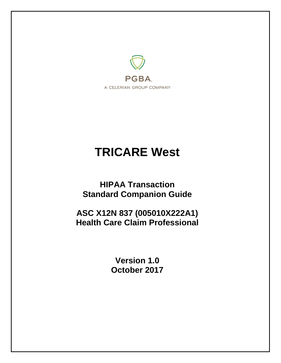

# **TRICARE West**

**HIPAA Transaction Standard Companion Guide**

**ASC X12N 837 (005010X222A1) Health Care Claim Professional**

> **Version 1.0 October 2017**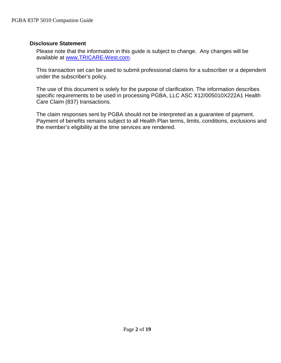#### <span id="page-1-0"></span>**Disclosure Statement**

Please note that the information in this guide is subject to change. Any changes will be available at [www.TRICARE-West.com.](http://www.mytricare.com/)

This transaction set can be used to submit professional claims for a subscriber or a dependent under the subscriber's policy.

The use of this document is solely for the purpose of clarification. The information describes specific requirements to be used in processing PGBA, LLC ASC X12/005010X222A1 Health Care Claim (837) transactions.

The claim responses sent by PGBA should not be interpreted as a guarantee of payment. Payment of benefits remains subject to all Health Plan terms, limits, conditions, exclusions and the member's eligibility at the time services are rendered.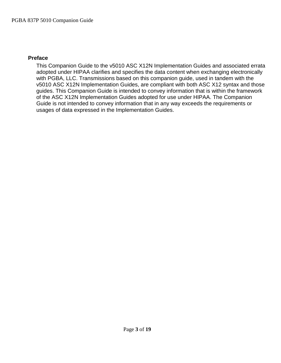#### <span id="page-2-0"></span>**Preface**

This Companion Guide to the v5010 ASC X12N Implementation Guides and associated errata adopted under HIPAA clarifies and specifies the data content when exchanging electronically with PGBA, LLC. Transmissions based on this companion guide, used in tandem with the v5010 ASC X12N Implementation Guides, are compliant with both ASC X12 syntax and those guides. This Companion Guide is intended to convey information that is within the framework of the ASC X12N Implementation Guides adopted for use under HIPAA. The Companion Guide is not intended to convey information that in any way exceeds the requirements or usages of data expressed in the Implementation Guides.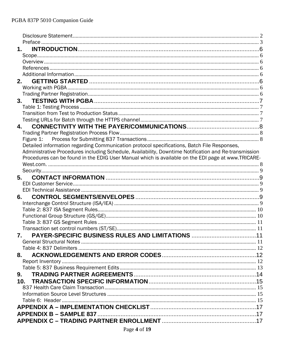|                | 1.                                                                                                    |  |
|----------------|-------------------------------------------------------------------------------------------------------|--|
|                |                                                                                                       |  |
|                |                                                                                                       |  |
|                |                                                                                                       |  |
|                |                                                                                                       |  |
|                | 2.                                                                                                    |  |
|                |                                                                                                       |  |
|                |                                                                                                       |  |
|                |                                                                                                       |  |
|                |                                                                                                       |  |
|                |                                                                                                       |  |
|                |                                                                                                       |  |
|                | 4.                                                                                                    |  |
|                |                                                                                                       |  |
|                |                                                                                                       |  |
|                | Detailed information regarding Communication protocol specifications, Batch File Responses,           |  |
|                | Administrative Procedures including Schedule, Availability, Downtime Notification and Re-transmission |  |
|                | Procedures can be found in the EDIG User Manual which is available on the EDI page at www.TRICARE-    |  |
|                |                                                                                                       |  |
|                |                                                                                                       |  |
|                | 5.                                                                                                    |  |
|                |                                                                                                       |  |
|                |                                                                                                       |  |
|                | 6.                                                                                                    |  |
|                |                                                                                                       |  |
|                |                                                                                                       |  |
|                |                                                                                                       |  |
|                |                                                                                                       |  |
|                |                                                                                                       |  |
|                | 7.                                                                                                    |  |
|                |                                                                                                       |  |
|                |                                                                                                       |  |
|                | 8.                                                                                                    |  |
|                |                                                                                                       |  |
|                |                                                                                                       |  |
| 9 <sub>1</sub> |                                                                                                       |  |
|                | 10.                                                                                                   |  |
|                |                                                                                                       |  |
|                |                                                                                                       |  |
|                |                                                                                                       |  |
|                |                                                                                                       |  |
|                |                                                                                                       |  |
|                |                                                                                                       |  |
|                |                                                                                                       |  |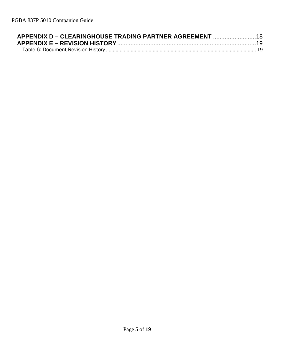| APPENDIX D – CLEARINGHOUSE TRADING PARTNER AGREEMENT 18 |  |
|---------------------------------------------------------|--|
|                                                         |  |
|                                                         |  |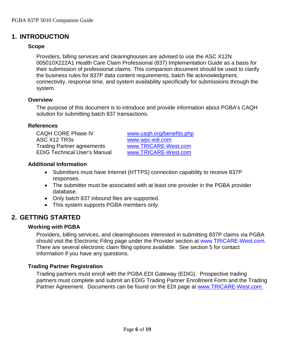# <span id="page-5-1"></span><span id="page-5-0"></span>**1. INTRODUCTION**

#### **Scope**

Providers, billing services and clearinghouses are advised to use the ASC X12N 005010X222A1 Health Care Claim Professional (837) Implementation Guide as a basis for their submission of professional claims. This companion document should be used to clarify the business rules for 837P data content requirements, batch file acknowledgment, connectivity, response time, and system availability specifically for submissions through the system.

#### <span id="page-5-2"></span>**Overview**

The purpose of this document is to introduce and provide information about PGBA's CAQH solution for submitting batch 837 transactions.

#### <span id="page-5-3"></span>**References**

CAQH CORE Phase IV [www.caqh.org/benefits.php](http://www.caqh.org/benefits.php) ASC X12 TR3s [www.wpc-edi.com](http://www.wpc-edi.com/) Trading Partner agreements<br>
EDIG Technical User's Manual 
Www.TRICARE-West.com EDIG Technical User's Manual

#### <span id="page-5-4"></span>**Additional Information**

- Submitters must have Internet (HTTPS) connection capability to receive 837P responses.
- The submitter must be associated with at least one provider in the PGBA provider database.
- Only batch 837 inbound files are supported.
- This system supports PGBA members only.

# <span id="page-5-6"></span><span id="page-5-5"></span>**2. GETTING STARTED**

#### **Working with PGBA**

Providers, billing services, and clearinghouses interested in submitting 837P claims via PGBA should visit the Electronic Filing page under the Provider section at [www.TRICARE-West.com.](http://www.tricare-west.coma/) There are several electronic claim filing options available. See section 5 for contact information if you have any questions.

#### <span id="page-5-7"></span>**Trading Partner Registration**

Trading partners must enroll with the PGBA EDI Gateway (EDIG). Prospective trading partners must complete and submit an EDIG Trading Partner Enrollment Form and the Trading Partner Agreement. Documents can be found on the EDI page at [www.TRICARE-West.com.](http://www.mytricare.com/)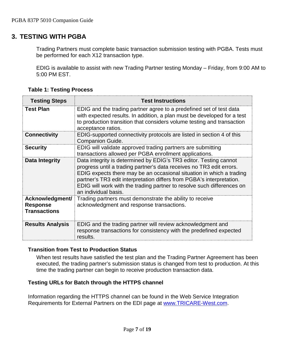## <span id="page-6-0"></span>**3. TESTING WITH PGBA**

Trading Partners must complete basic transaction submission testing with PGBA. Tests must be performed for each X12 transaction type.

EDIG is available to assist with new Trading Partner testing Monday – Friday, from 9:00 AM to 5:00 PM EST.

<span id="page-6-1"></span>

| <b>Testing Steps</b>                                      | <b>Test Instructions</b>                                                                                                                                                                                                                                                                                                                                                                     |
|-----------------------------------------------------------|----------------------------------------------------------------------------------------------------------------------------------------------------------------------------------------------------------------------------------------------------------------------------------------------------------------------------------------------------------------------------------------------|
| <b>Test Plan</b>                                          | EDIG and the trading partner agree to a predefined set of test data<br>with expected results. In addition, a plan must be developed for a test<br>to production transition that considers volume testing and transaction<br>acceptance ratios.                                                                                                                                               |
| <b>Connectivity</b>                                       | EDIG-supported connectivity protocols are listed in section 4 of this<br><b>Companion Guide.</b>                                                                                                                                                                                                                                                                                             |
| <b>Security</b>                                           | EDIG will validate approved trading partners are submitting<br>transactions allowed per PGBA enrollment applications.                                                                                                                                                                                                                                                                        |
| Data Integrity                                            | Data integrity is determined by EDIG's TR3 editor. Testing cannot<br>progress until a trading partner's data receives no TR3 edit errors.<br>EDIG expects there may be an occasional situation in which a trading<br>partner's TR3 edit interpretation differs from PGBA's interpretation.<br>EDIG will work with the trading partner to resolve such differences on<br>an individual basis. |
| Acknowledgment/<br><b>Response</b><br><b>Transactions</b> | Trading partners must demonstrate the ability to receive<br>acknowledgment and response transactions.                                                                                                                                                                                                                                                                                        |
| <b>Results Analysis</b>                                   | EDIG and the trading partner will review acknowledgment and<br>response transactions for consistency with the predefined expected<br>results.                                                                                                                                                                                                                                                |

**Table 1: Testing Process**

#### <span id="page-6-2"></span>**Transition from Test to Production Status**

When test results have satisfied the test plan and the Trading Partner Agreement has been executed, the trading partner's submission status is changed from test to production. At this time the trading partner can begin to receive production transaction data.

#### <span id="page-6-3"></span>**Testing URLs for Batch through the HTTPS channel**

Information regarding the HTTPS channel can be found in the Web Service Integration Requirements for External Partners on the EDI page at [www.TRICARE-West.com.](http://www.mytricare.com/)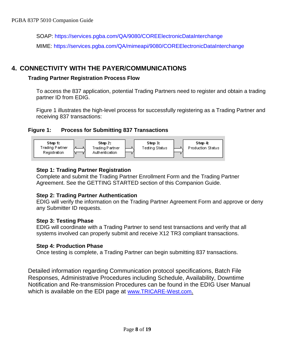SOAP: <https://services.pgba.com/QA/9080/COREElectronicDataInterchange> MIME: <https://services.pgba.com/QA/mimeapi/9080/COREElectronicDataInterchange>

# <span id="page-7-1"></span><span id="page-7-0"></span>**4. CONNECTIVITY WITH THE PAYER/COMMUNICATIONS**

#### **Trading Partner Registration Process Flow**

To access the 837 application, potential Trading Partners need to register and obtain a trading partner ID from EDIG.

Figure 1 illustrates the high-level process for successfully registering as a Trading Partner and receiving 837 transactions:

#### <span id="page-7-2"></span>**Figure 1: Process for Submitting 837 Transactions**



#### **Step 1: Trading Partner Registration**

Complete and submit the Trading Partner Enrollment Form and the Trading Partner Agreement. See the GETTING STARTED section of this Companion Guide.

#### **Step 2: Trading Partner Authentication**

EDIG will verify the information on the Trading Partner Agreement Form and approve or deny any Submitter ID requests.

#### **Step 3: Testing Phase**

EDIG will coordinate with a Trading Partner to send test transactions and verify that all systems involved can properly submit and receive X12 TR3 compliant transactions.

#### **Step 4: Production Phase**

Once testing is complete, a Trading Partner can begin submitting 837 transactions.

<span id="page-7-3"></span>Detailed information regarding Communication protocol specifications, Batch File Responses, Administrative Procedures including Schedule, Availability, Downtime Notification and Re-transmission Procedures can be found in the EDIG User Manual which is available on the EDI page at [www.TRICARE-West.com.](http://www.mytricare.com/)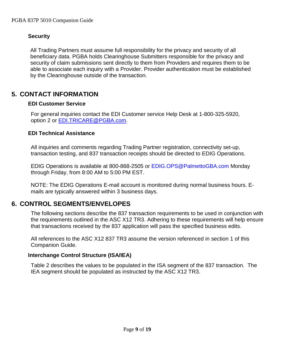#### <span id="page-8-0"></span>**Security**

All Trading Partners must assume full responsibility for the privacy and security of all beneficiary data. PGBA holds Clearinghouse Submitters responsible for the privacy and security of claim submissions sent directly to them from Providers and requires them to be able to associate each inquiry with a Provider. Provider authentication must be established by the Clearinghouse outside of the transaction.

## <span id="page-8-2"></span><span id="page-8-1"></span>**5. CONTACT INFORMATION**

#### **EDI Customer Service**

For general inquiries contact the EDI Customer service Help Desk at 1-800-325-5920, option 2 or [EDI.TRICARE@PGBA.com.](mailto:EDI.TRICARE@PGBA.com)

#### <span id="page-8-3"></span>**EDI Technical Assistance**

All inquiries and comments regarding Trading Partner registration, connectivity set-up, transaction testing, and 837 transaction receipts should be directed to EDIG Operations.

EDIG Operations is available at 800-868-2505 or [EDIG.OPS@PalmettoGBA.com](mailto:EDIG.OPS@PalmettoGBA.com) Monday through Friday, from 8:00 AM to 5:00 PM EST.

NOTE: The EDIG Operations E-mail account is monitored during normal business hours. Emails are typically answered within 3 business days.

## <span id="page-8-4"></span>**6. CONTROL SEGMENTS/ENVELOPES**

The following sections describe the 837 transaction requirements to be used in conjunction with the requirements outlined in the ASC X12 TR3. Adhering to these requirements will help ensure that transactions received by the 837 application will pass the specified business edits.

All references to the ASC X12 837 TR3 assume the version referenced in section 1 of this Companion Guide.

#### <span id="page-8-5"></span>**Interchange Control Structure (ISA/IEA)**

Table 2 describes the values to be populated in the ISA segment of the 837 transaction. The IEA segment should be populated as instructed by the ASC X12 TR3.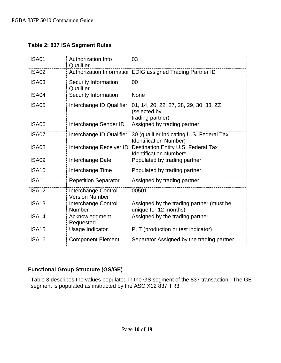#### <span id="page-9-0"></span>**Table 2: 837 ISA Segment Rules**

| <b>ISA01</b> | <b>Authorization Info</b><br>Qualifier       | 03                                                                         |
|--------------|----------------------------------------------|----------------------------------------------------------------------------|
| <b>ISA02</b> |                                              | Authorization Informatior EDIG assigned Trading Partner ID                 |
| <b>ISA03</b> | Security Information<br>Qualifier            | 00                                                                         |
| ISA04        | Security Information                         | <b>None</b>                                                                |
| <b>ISA05</b> | Interchange ID Qualifier                     | 01, 14, 20, 22, 27, 28, 29, 30, 33, ZZ<br>(selected by<br>trading partner) |
| <b>ISA06</b> | Interchange Sender ID                        | Assigned by trading partner                                                |
| ISA07        | Interchange ID Qualifier                     | 30 (qualifier indicating U.S. Federal Tax<br><b>Identification Number)</b> |
| ISA08        | Interchange Receiver ID                      | Destination Entity U.S. Federal Tax<br><b>Identification Number*</b>       |
| <b>ISA09</b> | Interchange Date                             | Populated by trading partner                                               |
| <b>ISA10</b> | Interchange Time                             | Populated by trading partner                                               |
| <b>ISA11</b> | <b>Repetition Separator</b>                  | Assigned by trading partner                                                |
| <b>ISA12</b> | Interchange Control<br><b>Version Number</b> | 00501                                                                      |
| <b>ISA13</b> | Interchange Control<br>Number                | Assigned by the trading partner (must be<br>unique for 12 months)          |
| <b>ISA14</b> | Acknowledgment<br>Requested                  | Assigned by the trading partner                                            |
| <b>ISA15</b> | Usage Indicator                              | P, T (production or test indicator)                                        |
| <b>ISA16</b> | <b>Component Element</b>                     | Separator Assigned by the trading partner                                  |

#### <span id="page-9-1"></span>**Functional Group Structure (GS/GE)**

Table 3 describes the values populated in the GS segment of the 837 transaction. The GE segment is populated as instructed by the ASC X12 837 TR3.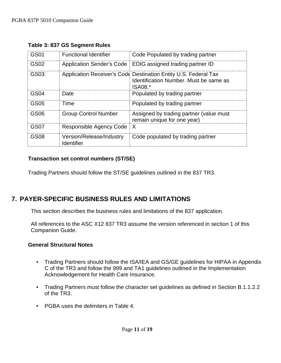| GS01 | <b>Functional Identifier</b>           | Code Populated by trading partner                                                                                    |
|------|----------------------------------------|----------------------------------------------------------------------------------------------------------------------|
| GS02 | Application Sender's Code              | EDIG assigned trading partner ID                                                                                     |
| GS03 |                                        | Application Receiver's Code Destination Entity U.S. Federal Tax<br>Identification Number. Must be same as<br>ISA08.* |
| GS04 | Date                                   | Populated by trading partner                                                                                         |
| GS05 | Time                                   | Populated by trading partner                                                                                         |
| GS06 | <b>Group Control Number</b>            | Assigned by trading partner (value must<br>remain unique for one year)                                               |
| GS07 | Responsible Agency Code                | X                                                                                                                    |
| GS08 | Version/Release/Industry<br>Identifier | Code populated by trading partner                                                                                    |

<span id="page-10-0"></span>**Table 3: 837 GS Segment Rules**

#### <span id="page-10-1"></span>**Transaction set control numbers (ST/SE)**

Trading Partners should follow the ST/SE guidelines outlined in the 837 TR3.

## <span id="page-10-2"></span>**7. PAYER-SPECIFIC BUSINESS RULES AND LIMITATIONS**

This section describes the business rules and limitations of the 837 application.

All references to the ASC X12 837 TR3 assume the version referenced in section 1 of this Companion Guide.

#### <span id="page-10-3"></span>**General Structural Notes**

- Trading Partners should follow the ISA/IEA and GS/GE guidelines for HIPAA in Appendix C of the TR3 and follow the 999 and TA1 guidelines outlined in the Implementation Acknowledgement for Health Care Insurance.
- Trading Partners must follow the character set guidelines as defined in Section B.1.1.2.2 of the TR3.
- PGBA uses the delimiters in Table 4.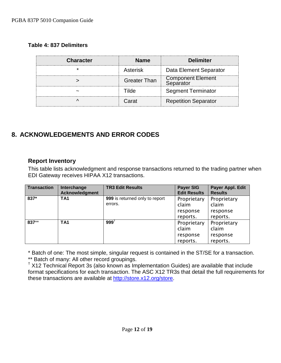#### <span id="page-11-0"></span>**Table 4: 837 Delimiters**

| <b>Character</b> | <b>Name</b>         | <b>Delimiter</b>                      |
|------------------|---------------------|---------------------------------------|
|                  | Asterisk            | Data Element Separator                |
|                  | <b>Greater Than</b> | <b>Component Element</b><br>Senarator |
|                  |                     | <b>Segment Terminator</b>             |
|                  | Carat               | <b>Repetition Separator</b>           |

# <span id="page-11-1"></span>**8. ACKNOWLEDGEMENTS AND ERROR CODES**

#### <span id="page-11-2"></span>**Report Inventory**

This table lists acknowledgment and response transactions returned to the trading partner when EDI Gateway receives HIPAA X12 transactions.

| <b>Transaction</b> | Interchange<br>Acknowledgment | <b>TR3 Edit Results</b>                   | <b>Payer SIG</b><br><b>Edit Results</b>      | Payer Appl. Edit<br><b>Results</b>           |
|--------------------|-------------------------------|-------------------------------------------|----------------------------------------------|----------------------------------------------|
| 837*               | TA <sub>1</sub>               | 999 is returned only to report<br>errors. | Proprietary<br>claim                         | Proprietary<br>claim                         |
|                    |                               |                                           | response<br>reports.                         | response<br>reports.                         |
| 837**              | TA <sub>1</sub>               | $999^{\dagger}$                           | Proprietary<br>claim<br>response<br>reports. | Proprietary<br>claim<br>response<br>reports. |

\* Batch of one: The most simple, singular request is contained in the ST/SE for a transaction.

\*\* Batch of many: All other record groupings.

 $<sup>†</sup>$  X12 Technical Report 3s (also known as Implementation Guides) are available that include</sup> format specifications for each transaction. The ASC X12 TR3s that detail the full requirements for these transactions are available at [http://store.x12.org/store.](http://store.x12.org/store/)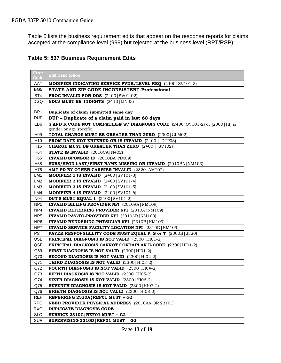Table 5 lists the business requirement edits that appear on the response reports for claims accepted at the compliance level (999) but rejected at the business level (RPT/RSP).

 $\overline{\phantom{0}}$ 

#### <span id="page-12-0"></span>**Table 5: 837 Business Requirement Edits**

| Error<br>Code   | <b>Edit Description</b>                                                                                          |
|-----------------|------------------------------------------------------------------------------------------------------------------|
| AAT             | <b>MODIFIER INDICATING SERVICE PVDR/LEVEL REQ</b> (2400) SV101-3)                                                |
| BG5             | STATE AND ZIP CODE INCONSISTENT-Professional                                                                     |
| BT4             | <b>PROC INVALID FOR DOS</b> (2400) SV01-02)                                                                      |
| DGQ             | NDC# MUST BE 11DIGITS (2410   LINO3)                                                                             |
| DP <sub>1</sub> | Duplicate of claim submitted same day                                                                            |
| <b>DUP</b>      | DUP - Duplicate of a claim paid in last 60 days                                                                  |
| EB <sub>6</sub> | <b>S AND R CODE NOT COMPATIBLE W/ DIAGNOSIS CODE</b> (2400) SV101-2) or (2300) HI) is<br>gender or age specific. |
| H <sub>09</sub> | <b>TOTAL CHARGE MUST BE GREATER THAN ZERO</b> (2300) CLM02)                                                      |
| H <sub>10</sub> | <b>FROM DATE NOT ENTERED OR IS INVALID (2400   DTP03)</b>                                                        |
| H <sub>16</sub> | <b>CHARGE MUST BE GREATER THAN ZERO</b> (2400)<br>SV102)                                                         |
| H64             | <b>STATE IS INVALID</b> $(2010CA N402)$                                                                          |
| H65             | <b>INVALID SPONSOR ID</b> (2010BA) NM09)                                                                         |
| H68             | SUBS/SPON LAST/FIRST NAME MISSING OR INVALID (2010BA NM103)                                                      |
| H76             | AMT PD BY OTHER CARRIER INVALID (2320   AMT02)                                                                   |
| LM1             | MODIFIER 1 IS INVALID [2400] SV101-3]                                                                            |
| LM2             | <b>MODIFIER 2 IS INVALID</b> $[2400 SVI01-4]$                                                                    |
| LM3             | MODIFIER 3 IS INVALID [2400 SV101-5]                                                                             |
| LM4             | MODIFIER 4 IS INVALID [2400 SV101-6]                                                                             |
| N04             | <b>DUT'S MUST EQUAL 1</b> $(2400   SV101-2)$                                                                     |
| NP <sub>1</sub> | <b>INVALID BILLING PROVIDER NPI</b> (2010AA   NM109)                                                             |
| NP4             | <b>INVALID REFERRING PROVIDER NPI</b> (2310A   NM109)                                                            |
| NP <sub>5</sub> | INVALID PAY-TO-PROVIDER NPI (2010AB   NM109)                                                                     |
| NP <sub>6</sub> | INVALID RENDERING PHYSICIAN NPI (2310B   NM109)                                                                  |
| NP7             | <b>INVALID SERVICE FACILITY LOCATION NPI</b> (2310D   NM109)                                                     |
| <b>PST</b>      | <b>PAYER RESPONSIBILITY CODE MUST EQUAL P, S or T</b> (2000B) 2320)                                              |
| QSE             | <b>PRINCIPAL DIAGNOSIS IS NOT VALID</b> (2300   HI01-2)                                                          |
| QSF             | PRINCIPAL DIAGNOSIS CANNOT CONTAIN AN E-CODE (2300   HI01-2)                                                     |
| Q69             | <b>FIRST DIAGNOSIS IS NOT VALID</b> $(2300)$ HI01-2)                                                             |
| Q70             | <b>SECOND DIAGNOSIS IS NOT VALID</b> $(2300)$ HI02-2)                                                            |
| Q71             | <b>THIRD DIAGNOSIS IS NOT VALID</b> (2300   HI03-2)                                                              |
| Q72             | <b>FOURTH DIAGNOSIS IS NOT VALID</b> (2300   HI04-2)                                                             |
| Q73             | FIFTH DIAGNOSIS IS NOT VALID (2300   HI05-2)                                                                     |
| Q74             | <b>SIXTH DIAGNOSIS IS NOT VALID</b> (2300   HI06-2)                                                              |
| Q75             | <b>SEVENTH DIAGNOSIS IS NOT VALID</b> (2300   HI07-2)                                                            |
| Q76             | <b>EIGHTH DIAGNOSIS IS NOT VALID</b> $(2300)$ HI08-2)                                                            |
| <b>REF</b>      | REFERRING $2310A$ REFO1 MUST = G2                                                                                |
| <b>RPO</b>      | <b>NEED PROVIDER PHYSICAL ADDRESS</b> (2010AA OR 2310C)                                                          |
| RXO             | <b>DUPLICATE DIAGNOSIS CODE</b>                                                                                  |
| <b>SLO</b>      | SERVICE $2310C$ REF01 MUST = G2                                                                                  |
| <b>SUP</b>      | SUPERVISING $2310D$   REF01 MUST = G2                                                                            |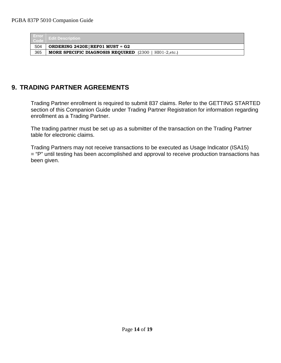| Error<br>Code   | <b>Edit Description</b>                                                  |
|-----------------|--------------------------------------------------------------------------|
| S <sub>04</sub> | ORDERING $2420E$ REFO1 MUST = G2                                         |
| 365             | <b>MORE SPECIFIC DIAGNOSIS REQUIRED</b> $(2300 \mid \text{HIO1-2,etc.})$ |

# <span id="page-13-0"></span>**9. TRADING PARTNER AGREEMENTS**

Trading Partner enrollment is required to submit 837 claims. Refer to the GETTING STARTED section of this Companion Guide under Trading Partner Registration for information regarding enrollment as a Trading Partner.

The trading partner must be set up as a submitter of the transaction on the Trading Partner table for electronic claims.

Trading Partners may not receive transactions to be executed as Usage Indicator (ISA15) = "P" until testing has been accomplished and approval to receive production transactions has been given.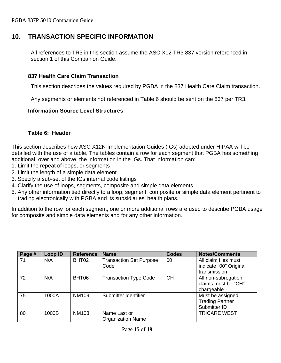## <span id="page-14-0"></span>**10. TRANSACTION SPECIFIC INFORMATION**

All references to TR3 in this section assume the ASC X12 TR3 837 version referenced in section 1 of this Companion Guide.

#### <span id="page-14-1"></span>**837 Health Care Claim Transaction**

This section describes the values required by PGBA in the 837 Health Care Claim transaction.

Any segments or elements not referenced in Table 6 should be sent on the 837 per TR3.

#### <span id="page-14-2"></span>**Information Source Level Structures**

#### **Table 6: Header**

<span id="page-14-3"></span>This section describes how ASC X12N Implementation Guides (IGs) adopted under HIPAA will be detailed with the use of a table. The tables contain a row for each segment that PGBA has something additional, over and above, the information in the IGs. That information can:

- 1. Limit the repeat of loops, or segments
- 2. Limit the length of a simple data element
- 3. Specify a sub-set of the IGs internal code listings
- 4. Clarify the use of loops, segments, composite and simple data elements
- 5. Any other information tied directly to a loop, segment, composite or simple data element pertinent to trading electronically with PGBA and its subsidiaries' health plans.

In addition to the row for each segment, one or more additional rows are used to describe PGBA usage for composite and simple data elements and for any other information.

| Page # | Loop ID | <b>Reference</b> | <b>Name</b>                              | <b>Codes</b> | <b>Notes/Comments</b>                                          |
|--------|---------|------------------|------------------------------------------|--------------|----------------------------------------------------------------|
| 71     | N/A     | BHT02            | <b>Transaction Set Purpose</b><br>Code   | 00           | All claim files must<br>indicate "00" Original<br>transmission |
| 72     | N/A     | BHT06            | <b>Transaction Type Code</b>             | <b>CH</b>    | All non-subrogation<br>claims must be "CH"<br>chargeable       |
| 75     | 1000A   | <b>NM109</b>     | Submitter Identifier                     |              | Must be assigned<br><b>Trading Partner</b><br>Submitter ID     |
| 80     | 1000B   | <b>NM103</b>     | Name Last or<br><b>Organization Name</b> |              | <b>TRICARE WEST</b>                                            |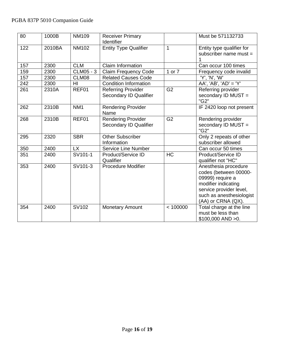| $\overline{80}$ | 1000B  | <b>NM109</b>    | <b>Receiver Primary</b><br>Identifier               |                | Must be 571132733                                                                                                                                                          |
|-----------------|--------|-----------------|-----------------------------------------------------|----------------|----------------------------------------------------------------------------------------------------------------------------------------------------------------------------|
| 122             | 2010BA | <b>NM102</b>    | <b>Entity Type Qualifier</b>                        | 1              | Entity type qualifier for<br>subscriber name must =                                                                                                                        |
| 157             | 2300   | <b>CLM</b>      | Claim Information                                   |                | Can occur 100 times                                                                                                                                                        |
| 159             | 2300   | CLM05 - 3       | <b>Claim Frequency Code</b>                         | 1 or 7         | Frequency code invalid                                                                                                                                                     |
| 157             | 2300   | CLM08           | <b>Related Causes Code</b>                          |                | 'Y', 'N', 'W'                                                                                                                                                              |
| 242             | 2300   | HI              | <b>Condition Information</b>                        |                | $AA'$ , 'AB', 'AD' = 'Y'                                                                                                                                                   |
| 261             | 2310A  | REF01           | <b>Referring Provider</b><br>Secondary ID Qualifier | G <sub>2</sub> | Referring provider<br>secondary ID MUST =<br>"G2"                                                                                                                          |
| 262             | 2310B  | NM <sub>1</sub> | <b>Rendering Provider</b><br>Name                   |                | IF 2420 loop not present                                                                                                                                                   |
| 268             | 2310B  | REF01           | <b>Rendering Provider</b><br>Secondary ID Qualifier | G <sub>2</sub> | Rendering provider<br>secondary ID MUST =<br>"G2"                                                                                                                          |
| 295             | 2320   | <b>SBR</b>      | <b>Other Subscriber</b><br>Information              |                | Only 2 repeats of other<br>subscriber allowed                                                                                                                              |
| 350             | 2400   | <b>LX</b>       | <b>Service Line Number</b>                          |                | Can occur 50 times                                                                                                                                                         |
| 351             | 2400   | SV101-1         | Product/Service ID<br>Qualifier                     | <b>HC</b>      | Product/Service ID<br>qualifier not "HC"                                                                                                                                   |
| 353             | 2400   | SV101-3         | <b>Procedure Modifier</b>                           |                | Anesthesia procedure<br>codes (between 00000-<br>09999) require a<br>modifier indicating<br>service provider level,<br>such as anesthesiologist<br>$(AA)$ or CRNA $(QX)$ . |
| 354             | 2400   | SV102           | <b>Monetary Amount</b>                              | < 100000       | Total charge at the line<br>must be less than<br>\$100,000 AND > 0.                                                                                                        |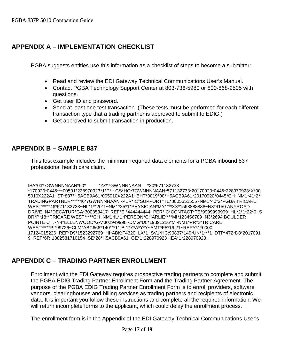# <span id="page-16-0"></span>**APPENDIX A – IMPLEMENTATION CHECKLIST**

PGBA suggests entities use this information as a checklist of steps to become a submitter:

- Read and review the EDI Gateway Technical Communications User's Manual.
- Contact PGBA Technology Support Center at 803-736-5980 or 800-868-2505 with questions.
- Get user ID and password.
- Send at least one test transaction. (These tests must be performed for each different transaction type that a trading partner is approved to submit to EDIG.)
- Get approved to submit transaction in production.

## <span id="page-16-1"></span>**APPENDIX B – SAMPLE 837**

This test example includes the minimum required data elements for a PGBA inbound 837 professional health care claim.

#### ISA\*03\*7GWNNNNAAN\*00\* \*ZZ\*7GWNNNNAAN \*30\*571132733

\*170920\*0445\*^\*00501\*228970923\*1\*P\*:~GS\*HC\*7GWNNNNAAN\*571132733\*20170920\*0445\*228970923\*X\*00 5010X222A1~ST\*837\*H5ACB9A61\*005010X222A1~BHT\*0019\*00\*H5ACB9A61\*20170920\*0445\*CH~NM1\*41\*2\* TRADINGPARTNER\*\*\*\*\*46\*7GWNNNNAAN~PER\*IC\*SUPPORT\*TE\*8005551555~NM1\*40\*2\*PGBA TRICARE WEST\*\*\*\*\*46\*571132733~HL\*1\*\*20\*1~NM1\*85\*1\*PHYSICIAN\*MY\*\*\*\*XX\*15688888888~N3\*4150 ANYROAD DRIVE~N4\*DECATUR\*GA\*300353417~REF\*EI\*444444444~PER\*IC\*CONTACT\*TE\*9999999999~HL\*2\*1\*22\*0~S BR\*P\*18\*\*TRICARE WEST\*\*\*\*\*CH~NM1\*IL\*1\*PERSON\*CHARLIE\*\*\*\*MI\*123456789~N3\*2694 BOULDER POINTE CT.~N4\*ELLENWOOD\*GA\*302949998~DMG\*D8\*19891216\*M~NM1\*PR\*2\*TRICARE WEST\*\*\*\*\*PI\*99726~CLM\*ABC666\*140\*\*\*11:B:1\*Y\*A\*Y\*Y~AMT\*F5\*16.21~REF\*G1\*0000- 17124015226~REF\*D9\*1523292769~HI\*ABK:F4320~LX\*1~SV1\*HC:90837\*140\*UN\*1\*\*\*1~DTP\*472\*D8\*2017091 9~REF\*6R\*1382581710154~SE\*28\*H5ACB9A61~GE\*1\*228970923~IEA\*1\*228970923~

## <span id="page-16-2"></span>**APPENDIX C – TRADING PARTNER ENROLLMENT**

Enrollment with the EDI Gateway requires prospective trading partners to complete and submit the PGBA EDIG Trading Partner Enrollment Form and the Trading Partner Agreement. The purpose of the PGBA EDIG Trading Partner Enrollment Form is to enroll providers, software vendors, clearinghouses and billing services as trading partners and recipients of electronic data. It is important you follow these instructions and complete all the required information. We will return incomplete forms to the applicant, which could delay the enrollment process.

The enrollment form is in the Appendix of the EDI Gateway Technical Communications User's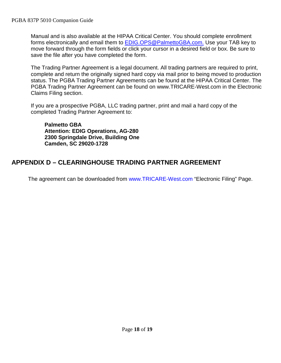Manual and is also available at the [HIPAA Critical Center.](http://www.hipaacriticalcenter.com/) You should complete enrollment forms electronically and email them to [EDIG.OPS@PalmettoGBA.com.](mailto:EDIG.OPS@PalmettoGBA.com.) Use your TAB key to move forward through the form fields or click your cursor in a desired field or box. Be sure to save the file after you have completed the form.

The Trading Partner Agreement is a legal document. All trading partners are required to print, complete and return the originally signed hard copy via mail prior to being moved to production status. The PGBA Trading Partner Agreements can be found at the [HIPAA Critical Center.](http://www.hipaacriticalcenter.com/) The PGBA Trading Partner Agreement can be found on www[.TRICARE-West.com](http://www.mytricare.com/) in the Electronic Claims Filing section.

If you are a prospective PGBA, LLC trading partner, print and mail a hard copy of the completed Trading Partner Agreement to:

**Palmetto GBA Attention: EDIG Operations, AG-280 2300 Springdale Drive, Building One Camden, SC 29020-1728**

# <span id="page-17-0"></span>**APPENDIX D – CLEARINGHOUSE TRADING PARTNER AGREEMENT**

The agreement can be downloaded from [www.TRICARE-West.com](http://www.mytricare.com/) "Electronic Filing" Page.